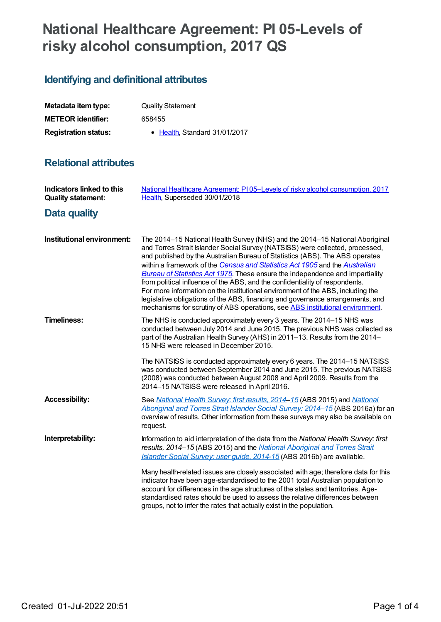# **National Healthcare Agreement: PI 05-Levels of risky alcohol consumption, 2017 QS**

## **Identifying and definitional attributes**

| Metadata item type:         | <b>Quality Statement</b>              |
|-----------------------------|---------------------------------------|
| <b>METEOR identifier:</b>   | 658455                                |
| <b>Registration status:</b> | $\bullet$ Health. Standard 31/01/2017 |

## **Relational attributes**

| Indicators linked to this<br><b>Quality statement:</b> | National Healthcare Agreement: PI05-Levels of risky alcohol consumption, 2017<br>Health, Superseded 30/01/2018                                                                                                                                                                                                                                                                                                                                                                                                                                                                                                                                                                                                                                              |
|--------------------------------------------------------|-------------------------------------------------------------------------------------------------------------------------------------------------------------------------------------------------------------------------------------------------------------------------------------------------------------------------------------------------------------------------------------------------------------------------------------------------------------------------------------------------------------------------------------------------------------------------------------------------------------------------------------------------------------------------------------------------------------------------------------------------------------|
| <b>Data quality</b>                                    |                                                                                                                                                                                                                                                                                                                                                                                                                                                                                                                                                                                                                                                                                                                                                             |
| Institutional environment:                             | The 2014-15 National Health Survey (NHS) and the 2014-15 National Aboriginal<br>and Torres Strait Islander Social Survey (NATSISS) were collected, processed,<br>and published by the Australian Bureau of Statistics (ABS). The ABS operates<br>within a framework of the Census and Statistics Act 1905 and the Australian<br><b>Bureau of Statistics Act 1975</b> . These ensure the independence and impartiality<br>from political influence of the ABS, and the confidentiality of respondents.<br>For more information on the institutional environment of the ABS, including the<br>legislative obligations of the ABS, financing and governance arrangements, and<br>mechanisms for scrutiny of ABS operations, see ABS institutional environment. |
| <b>Timeliness:</b>                                     | The NHS is conducted approximately every 3 years. The 2014-15 NHS was<br>conducted between July 2014 and June 2015. The previous NHS was collected as<br>part of the Australian Health Survey (AHS) in 2011-13. Results from the 2014-<br>15 NHS were released in December 2015.                                                                                                                                                                                                                                                                                                                                                                                                                                                                            |
|                                                        | The NATSISS is conducted approximately every 6 years. The 2014–15 NATSISS<br>was conducted between September 2014 and June 2015. The previous NATSISS<br>(2008) was conducted between August 2008 and April 2009. Results from the<br>2014-15 NATSISS were released in April 2016.                                                                                                                                                                                                                                                                                                                                                                                                                                                                          |
| <b>Accessibility:</b>                                  | See National Health Survey: first results, 2014-15 (ABS 2015) and National<br>Aboriginal and Torres Strait Islander Social Survey: 2014-15 (ABS 2016a) for an<br>overview of results. Other information from these surveys may also be available on<br>request.                                                                                                                                                                                                                                                                                                                                                                                                                                                                                             |
| Interpretability:                                      | Information to aid interpretation of the data from the National Health Survey: first<br>results, 2014-15 (ABS 2015) and the National Aboriginal and Torres Strait<br>Islander Social Survey: user guide, 2014-15 (ABS 2016b) are available.                                                                                                                                                                                                                                                                                                                                                                                                                                                                                                                 |
|                                                        | Many health-related issues are closely associated with age; therefore data for this<br>indicator have been age-standardised to the 2001 total Australian population to<br>account for differences in the age structures of the states and territories. Age-<br>standardised rates should be used to assess the relative differences between<br>groups, not to infer the rates that actually exist in the population.                                                                                                                                                                                                                                                                                                                                        |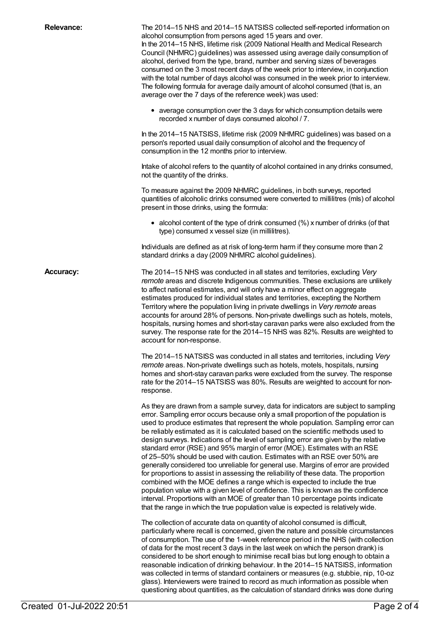| <b>Relevance:</b> | The 2014-15 NHS and 2014-15 NATSISS collected self-reported information on<br>alcohol consumption from persons aged 15 years and over.<br>In the 2014-15 NHS, lifetime risk (2009 National Health and Medical Research<br>Council (NHMRC) guidelines) was assessed using average daily consumption of<br>alcohol, derived from the type, brand, number and serving sizes of beverages<br>consumed on the 3 most recent days of the week prior to interview, in conjunction<br>with the total number of days alcohol was consumed in the week prior to interview.<br>The following formula for average daily amount of alcohol consumed (that is, an<br>average over the 7 days of the reference week) was used:                                                                                                                                                                                                                                                                                                                                                                                                                 |
|-------------------|---------------------------------------------------------------------------------------------------------------------------------------------------------------------------------------------------------------------------------------------------------------------------------------------------------------------------------------------------------------------------------------------------------------------------------------------------------------------------------------------------------------------------------------------------------------------------------------------------------------------------------------------------------------------------------------------------------------------------------------------------------------------------------------------------------------------------------------------------------------------------------------------------------------------------------------------------------------------------------------------------------------------------------------------------------------------------------------------------------------------------------|
|                   | • average consumption over the 3 days for which consumption details were<br>recorded x number of days consumed alcohol / 7.                                                                                                                                                                                                                                                                                                                                                                                                                                                                                                                                                                                                                                                                                                                                                                                                                                                                                                                                                                                                     |
|                   | In the 2014–15 NATSISS, lifetime risk (2009 NHMRC guidelines) was based on a<br>person's reported usual daily consumption of alcohol and the frequency of<br>consumption in the 12 months prior to interview.                                                                                                                                                                                                                                                                                                                                                                                                                                                                                                                                                                                                                                                                                                                                                                                                                                                                                                                   |
|                   | Intake of alcohol refers to the quantity of alcohol contained in any drinks consumed,<br>not the quantity of the drinks.                                                                                                                                                                                                                                                                                                                                                                                                                                                                                                                                                                                                                                                                                                                                                                                                                                                                                                                                                                                                        |
|                   | To measure against the 2009 NHMRC guidelines, in both surveys, reported<br>quantities of alcoholic drinks consumed were converted to millilitres (mls) of alcohol<br>present in those drinks, using the formula:                                                                                                                                                                                                                                                                                                                                                                                                                                                                                                                                                                                                                                                                                                                                                                                                                                                                                                                |
|                   | • alcohol content of the type of drink consumed (%) x number of drinks (of that<br>type) consumed x vessel size (in millilitres).                                                                                                                                                                                                                                                                                                                                                                                                                                                                                                                                                                                                                                                                                                                                                                                                                                                                                                                                                                                               |
|                   | Individuals are defined as at risk of long-term harm if they consume more than 2<br>standard drinks a day (2009 NHMRC alcohol guidelines).                                                                                                                                                                                                                                                                                                                                                                                                                                                                                                                                                                                                                                                                                                                                                                                                                                                                                                                                                                                      |
| <b>Accuracy:</b>  | The 2014-15 NHS was conducted in all states and territories, excluding Very<br>remote areas and discrete Indigenous communities. These exclusions are unlikely<br>to affect national estimates, and will only have a minor effect on aggregate<br>estimates produced for individual states and territories, excepting the Northern<br>Territory where the population living in private dwellings in Very remote areas<br>accounts for around 28% of persons. Non-private dwellings such as hotels, motels,<br>hospitals, nursing homes and short-stay caravan parks were also excluded from the<br>survey. The response rate for the 2014-15 NHS was 82%. Results are weighted to<br>account for non-response.                                                                                                                                                                                                                                                                                                                                                                                                                  |
|                   | The 2014–15 NATSISS was conducted in all states and territories, including Very<br>remote areas. Non-private dwellings such as hotels, motels, hospitals, nursing<br>homes and short-stay caravan parks were excluded from the survey. The response<br>rate for the 2014-15 NATSISS was 80%. Results are weighted to account for non-<br>response.                                                                                                                                                                                                                                                                                                                                                                                                                                                                                                                                                                                                                                                                                                                                                                              |
|                   | As they are drawn from a sample survey, data for indicators are subject to sampling<br>error. Sampling error occurs because only a small proportion of the population is<br>used to produce estimates that represent the whole population. Sampling error can<br>be reliably estimated as it is calculated based on the scientific methods used to<br>design surveys. Indications of the level of sampling error are given by the relative<br>standard error (RSE) and 95% margin of error (MOE). Estimates with an RSE<br>of 25-50% should be used with caution. Estimates with an RSE over 50% are<br>generally considered too unreliable for general use. Margins of error are provided<br>for proportions to assist in assessing the reliability of these data. The proportion<br>combined with the MOE defines a range which is expected to include the true<br>population value with a given level of confidence. This is known as the confidence<br>interval. Proportions with an MOE of greater than 10 percentage points indicate<br>that the range in which the true population value is expected is relatively wide. |
|                   | The collection of accurate data on quantity of alcohol consumed is difficult,<br>particularly where recall is concerned, given the nature and possible circumstances<br>of consumption. The use of the 1-week reference period in the NHS (with collection<br>of data for the most recent 3 days in the last week on which the person drank) is<br>considered to be short enough to minimise recall bias but long enough to obtain a<br>reasonable indication of drinking behaviour. In the 2014-15 NATSISS, information<br>was collected in terms of standard containers or measures (e.g. stubbie, nip, 10-oz<br>glass). Interviewers were trained to record as much information as possible when<br>questioning about quantities, as the calculation of standard drinks was done during                                                                                                                                                                                                                                                                                                                                      |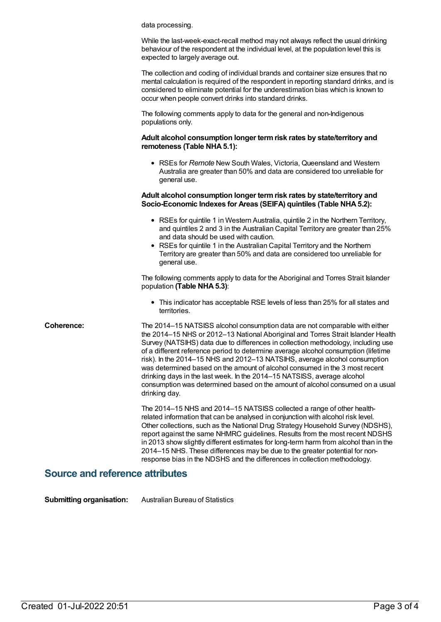data processing.

While the last-week-exact-recall method may not always reflect the usual drinking behaviour of the respondent at the individual level, at the population level this is expected to largely average out.

The collection and coding of individual brands and container size ensures that no mental calculation is required of the respondent in reporting standard drinks, and is considered to eliminate potential for the underestimation bias which is known to occur when people convert drinks into standard drinks.

The following comments apply to data for the general and non-Indigenous populations only.

#### **Adult alcohol consumption longer termrisk rates by state/territory and remoteness** (Table NHA 5.1):

RSEs for *Remote* New South Wales, Victoria, Queensland and Western Australia are greater than 50% and data are considered too unreliable for general use.

#### **Adult alcohol consumption longer termrisk rates by state/territory and Socio-Economic Indexes for Areas (SEIFA) quintiles (Table NHA5.2):**

- RSEs for quintile 1 in Western Australia, quintile 2 in the Northern Territory, and quintiles 2 and 3 in the Australian Capital Territory are greater than 25% and data should be used with caution.
- RSEs for quintile 1 in the Australian Capital Territory and the Northern Territory are greater than 50% and data are considered too unreliable for general use.

The following comments apply to data for the Aboriginal and Torres Strait Islander population **(Table NHA5.3)**:

This indicator has acceptable RSE levels of less than 25% for all states and territories.

**Coherence:** The 2014–15 NATSISS alcohol consumption data are not comparable with either the 2014–15 NHS or 2012–13 National Aboriginal and Torres Strait Islander Health Survey (NATSIHS) data due to differences in collection methodology, including use of a different reference period to determine average alcohol consumption (lifetime risk). In the 2014–15 NHS and 2012–13 NATSIHS, average alcohol consumption was determined based on the amount of alcohol consumed in the 3 most recent drinking days in the last week. In the 2014–15 NATSISS, average alcohol consumption was determined based on the amount of alcohol consumed on a usual drinking day.

> The 2014–15 NHS and 2014–15 NATSISS collected a range of other healthrelated information that can be analysed in conjunction with alcohol risk level. Other collections, such as the National Drug Strategy Household Survey (NDSHS), report against the same NHMRC guidelines. Results from the most recent NDSHS in 2013 show slightly different estimates for long-term harm from alcohol than in the 2014–15 NHS. These differences may be due to the greater potential for nonresponse bias in the NDSHS and the differences in collection methodology.

### **Source and reference attributes**

**Submitting organisation:** Australian Bureau of Statistics